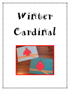## Wirtter Cardinal

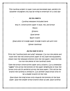This cardinal project is super cute and extremely easy, perfect for whatever youngsters you may be trying to entertain on a cold day!

## All you need is:

Cardinal template (included here)

9x12 in. construction paper in blue, red, and brown

Pencil

Scissors

Glue bottle

Black crayon

Small piece of orange paper (orange crayon will work too)

Glitter (optional)

## All you have to do is:

Print the "cardinal body and wing" template. Cut out the pieces and trace onto the red construction paper (if you have the equipment, simply copy the template directly onto the red paper). Have the kids cut out the pieces of the cardinal's body.

Take the brown construction paper and a scissors. Cut a somewhat "jagged" line across the bottom of the paper (lengthwise so that the brown strip will fit perfectly across the blue paper). This will be the branch the cardinal is sitting on. Cut another small brown strip to be a smaller branch of the tree.

Glue down the long brown strip towards the bottom of the blue paper. Glue the smaller brown branch down as well. Glue cardinal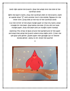body right above the branch. Glue the wings onto the side of the cardinal's body.

With the black crayon, draw the cardinal's feet on the branch, make an upside down "V" with another line in the middle. Repeat for the other foot. Draw eyes at the top of the cardinal's body.

Cut the corner of the small orange paper so that you have a small triangle for the beak. Glue below the eyes. If you did not have orange paper, draw the beak with an orange crayon instead.

Optional: Put drops of glue around the background of the paper and small lines along the branch where snow might stick. Cover the wet glue with glitter. Shake paper over garbage can to remove excess glitter. Allow to dry. Enjoy the sparkle!

 $\odot$